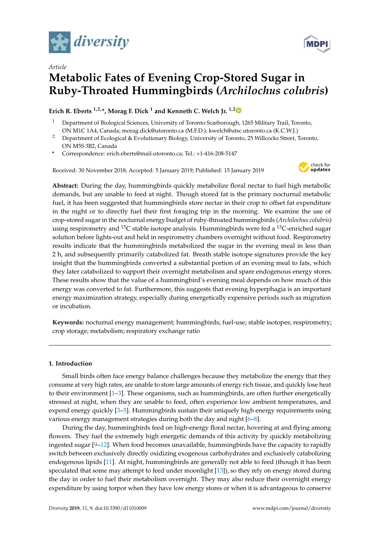



# *Article* **Metabolic Fates of Evening Crop-Stored Sugar in Ruby-Throated Hummingbirds (***Archilochus colubris***)**

**Erich R. Eberts**  $1,2,*$  $1,2,*$  $1,2,*$ , Morag F. Dick  $1$  and Kenneth C. Welch Jr.  $1,2$ 

- <sup>1</sup> Department of Biological Sciences, University of Toronto Scarborough, 1265 Military Trail, Toronto, ON M1C 1A4, Canada; morag.dick@utoronto.ca (M.F.D.); kwelch@utsc.utoronto.ca (K.C.W.J.)
- <sup>2</sup> Department of Ecological & Evolutionary Biology, University of Toronto, 25 Willcocks Street, Toronto, ON M5S 3B2, Canada
- **\*** Correspondence: erich.eberts@mail.utoronto.ca; Tel.: +1-416-208-5147

Received: 30 November 2018; Accepted: 5 January 2019; Published: 15 January 2019



**Abstract:** During the day, hummingbirds quickly metabolize floral nectar to fuel high metabolic demands, but are unable to feed at night. Though stored fat is the primary nocturnal metabolic fuel, it has been suggested that hummingbirds store nectar in their crop to offset fat expenditure in the night or to directly fuel their first foraging trip in the morning. We examine the use of crop-stored sugar in the nocturnal energy budget of ruby-throated hummingbirds (*Archilochus colubris*) using respirometry and <sup>13</sup>C stable isotope analysis. Hummingbirds were fed a <sup>13</sup>C-enriched sugar solution before lights-out and held in respirometry chambers overnight without food. Respirometry results indicate that the hummingbirds metabolized the sugar in the evening meal in less than 2 h, and subsequently primarily catabolized fat. Breath stable isotope signatures provide the key insight that the hummingbirds converted a substantial portion of an evening meal to fats, which they later catabolized to support their overnight metabolism and spare endogenous energy stores. These results show that the value of a hummingbird's evening meal depends on how much of this energy was converted to fat. Furthermore, this suggests that evening hyperphagia is an important energy maximization strategy, especially during energetically expensive periods such as migration or incubation.

**Keywords:** nocturnal energy management; hummingbirds; fuel-use; stable isotopes; respirometry; crop storage; metabolism; respiratory exchange ratio

# **1. Introduction**

Small birds often face energy balance challenges because they metabolize the energy that they consume at very high rates, are unable to store large amounts of energy rich tissue, and quickly lose heat to their environment [\[1–](#page-10-0)[3\]](#page-10-1). These organisms, such as hummingbirds, are often further energetically stressed at night, when they are unable to feed, often experience low ambient temperatures, and expend energy quickly [\[3](#page-10-1)[–5\]](#page-10-2). Hummingbirds sustain their uniquely high energy requirements using various energy management strategies during both the day and night [\[6–](#page-10-3)[8\]](#page-10-4).

During the day, hummingbirds feed on high-energy floral nectar, hovering at and flying among flowers. They fuel the extremely high energetic demands of this activity by quickly metabolizing ingested sugar [\[9–](#page-10-5)[12\]](#page-10-6). When food becomes unavailable, hummingbirds have the capacity to rapidly switch between exclusively directly oxidizing exogenous carbohydrates and exclusively catabolizing endogenous lipids [\[11\]](#page-10-7). At night, hummingbirds are generally not able to feed (though it has been speculated that some may attempt to feed under moonlight [\[13\]](#page-10-8)), so they rely on energy stored during the day in order to fuel their metabolism overnight. They may also reduce their overnight energy expenditure by using torpor when they have low energy stores or when it is advantageous to conserve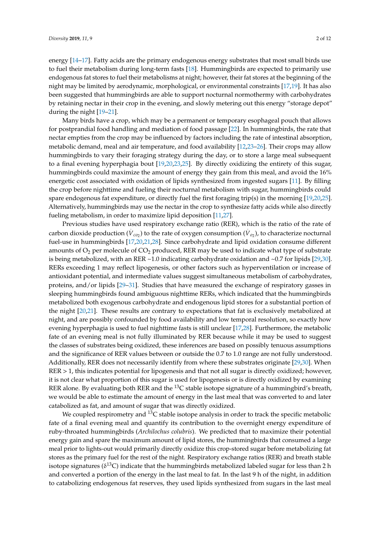energy [\[14–](#page-10-9)[17\]](#page-10-10). Fatty acids are the primary endogenous energy substrates that most small birds use to fuel their metabolism during long-term fasts [\[18\]](#page-10-11). Hummingbirds are expected to primarily use endogenous fat stores to fuel their metabolisms at night; however, their fat stores at the beginning of the night may be limited by aerodynamic, morphological, or environmental constraints [\[17](#page-10-10)[,19\]](#page-10-12). It has also been suggested that hummingbirds are able to support nocturnal normothermy with carbohydrates by retaining nectar in their crop in the evening, and slowly metering out this energy "storage depot" during the night [\[19–](#page-10-12)[21\]](#page-11-0).

Many birds have a crop, which may be a permanent or temporary esophageal pouch that allows for postprandial food handling and mediation of food passage [\[22\]](#page-11-1). In hummingbirds, the rate that nectar empties from the crop may be influenced by factors including the rate of intestinal absorption, metabolic demand, meal and air temperature, and food availability [\[12,](#page-10-6)[23–](#page-11-2)[26\]](#page-11-3). Their crops may allow hummingbirds to vary their foraging strategy during the day, or to store a large meal subsequent to a final evening hyperphagia bout [\[19](#page-10-12)[,20](#page-10-13)[,23](#page-11-2)[,25\]](#page-11-4). By directly oxidizing the entirety of this sugar, hummingbirds could maximize the amount of energy they gain from this meal, and avoid the 16% energetic cost associated with oxidation of lipids synthesized from ingested sugars [\[11\]](#page-10-7). By filling the crop before nighttime and fueling their nocturnal metabolism with sugar, hummingbirds could spare endogenous fat expenditure, or directly fuel the first foraging trip(s) in the morning [\[19,](#page-10-12)[20,](#page-10-13)[25\]](#page-11-4). Alternatively, hummingbirds may use the nectar in the crop to synthesize fatty acids while also directly fueling metabolism, in order to maximize lipid deposition [\[11,](#page-10-7)[27\]](#page-11-5).

Previous studies have used respiratory exchange ratio (RER), which is the ratio of the rate of carbon dioxide production ( $V_{co_2}$ ) to the rate of oxygen consumption ( $V_{o_2}$ ), to characterize nocturnal fuel-use in hummingbirds [\[17](#page-10-10)[,20](#page-10-13)[,21](#page-11-0)[,28\]](#page-11-6). Since carbohydrate and lipid oxidation consume different amounts of  $O_2$  per molecule of  $CO_2$  produced, RER may be used to indicate what type of substrate is being metabolized, with an RER ~1.0 indicating carbohydrate oxidation and ~0.7 for lipids [\[29,](#page-11-7)[30\]](#page-11-8). RERs exceeding 1 may reflect lipogenesis, or other factors such as hyperventilation or increase of antioxidant potential, and intermediate values suggest simultaneous metabolism of carbohydrates, proteins, and/or lipids [\[29–](#page-11-7)[31\]](#page-11-9). Studies that have measured the exchange of respiratory gasses in sleeping hummingbirds found ambiguous nighttime RERs, which indicated that the hummingbirds metabolized both exogenous carbohydrate and endogenous lipid stores for a substantial portion of the night [\[20](#page-10-13)[,21\]](#page-11-0). These results are contrary to expectations that fat is exclusively metabolized at night, and are possibly confounded by food availability and low temporal resolution, so exactly how evening hyperphagia is used to fuel nighttime fasts is still unclear [\[17,](#page-10-10)[28\]](#page-11-6). Furthermore, the metabolic fate of an evening meal is not fully illuminated by RER because while it may be used to suggest the classes of substrates being oxidized, these inferences are based on possibly tenuous assumptions and the significance of RER values between or outside the 0.7 to 1.0 range are not fully understood. Additionally, RER does not necessarily identify from where these substrates originate [\[29](#page-11-7)[,30\]](#page-11-8). When RER > 1, this indicates potential for lipogenesis and that not all sugar is directly oxidized; however, it is not clear what proportion of this sugar is used for lipogenesis or is directly oxidized by examining RER alone. By evaluating both RER and the  $^{13}C$  stable isotope signature of a hummingbird's breath, we would be able to estimate the amount of energy in the last meal that was converted to and later catabolized as fat, and amount of sugar that was directly oxidized.

We coupled respirometry and  $^{13}$ C stable isotope analysis in order to track the specific metabolic fate of a final evening meal and quantify its contribution to the overnight energy expenditure of ruby-throated hummingbirds (*Archilochus colubris*). We predicted that to maximize their potential energy gain and spare the maximum amount of lipid stores, the hummingbirds that consumed a large meal prior to lights-out would primarily directly oxidize this crop-stored sugar before metabolizing fat stores as the primary fuel for the rest of the night. Respiratory exchange ratios (RER) and breath stable isotope signatures ( $\delta^{13}$ C) indicate that the hummingbirds metabolized labeled sugar for less than 2 h and converted a portion of the energy in the last meal to fat. In the last 9 h of the night, in addition to catabolizing endogenous fat reserves, they used lipids synthesized from sugars in the last meal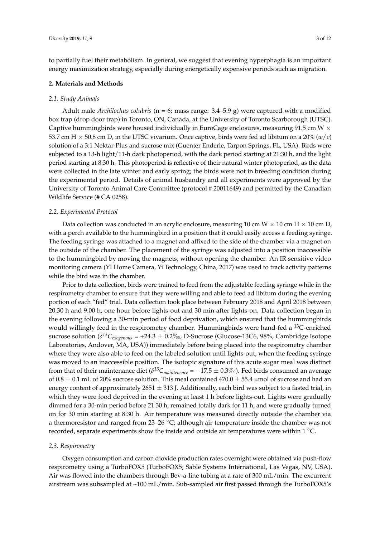to partially fuel their metabolism. In general, we suggest that evening hyperphagia is an important energy maximization strategy, especially during energetically expensive periods such as migration.

## **2. Materials and Methods**

## *2.1. Study Animals*

Adult male *Archilochus colubris* (n = 6; mass range: 3.4–5.9 g) were captured with a modified box trap (drop door trap) in Toronto, ON, Canada, at the University of Toronto Scarborough (UTSC). Captive hummingbirds were housed individually in EuroCage enclosures, measuring 91.5 cm W  $\times$ 53.7 cm H  $\times$  50.8 cm D, in the UTSC vivarium. Once captive, birds were fed ad libitum on a 20% ( $w/v$ ) solution of a 3:1 Nektar-Plus and sucrose mix (Guenter Enderle, Tarpon Springs, FL, USA). Birds were subjected to a 13-h light/11-h dark photoperiod, with the dark period starting at 21:30 h, and the light period starting at 8:30 h. This photoperiod is reflective of their natural winter photoperiod, as the data were collected in the late winter and early spring; the birds were not in breeding condition during the experimental period. Details of animal husbandry and all experiments were approved by the University of Toronto Animal Care Committee (protocol # 20011649) and permitted by the Canadian Wildlife Service (# CA 0258).

## *2.2. Experimental Protocol*

Data collection was conducted in an acrylic enclosure, measuring 10 cm W  $\times$  10 cm H  $\times$  10 cm D, with a perch available to the hummingbird in a position that it could easily access a feeding syringe. The feeding syringe was attached to a magnet and affixed to the side of the chamber via a magnet on the outside of the chamber. The placement of the syringe was adjusted into a position inaccessible to the hummingbird by moving the magnets, without opening the chamber. An IR sensitive video monitoring camera (YI Home Camera, Yi Technology, China, 2017) was used to track activity patterns while the bird was in the chamber.

Prior to data collection, birds were trained to feed from the adjustable feeding syringe while in the respirometry chamber to ensure that they were willing and able to feed ad libitum during the evening portion of each "fed" trial. Data collection took place between February 2018 and April 2018 between 20:30 h and 9:00 h, one hour before lights-out and 30 min after lights-on. Data collection began in the evening following a 30-min period of food deprivation, which ensured that the hummingbirds would willingly feed in the respirometry chamber. Hummingbirds were hand-fed a <sup>13</sup>C-enriched sucrose solution (*δ <sup>13</sup>Cexogenous* = +24.3 ± 0.2‰, D-Sucrose (Glucose-13C6, 98%, Cambridge Isotope Laboratories, Andover, MA, USA)) immediately before being placed into the respirometry chamber where they were also able to feed on the labeled solution until lights-out, when the feeding syringe was moved to an inaccessible position. The isotopic signature of this acute sugar meal was distinct from that of their maintenance diet ( $\delta^{13}C_{maintene}$  =  $-17.5\pm0.3\%$ ). Fed birds consumed an average of 0.8  $\pm$  0.1 mL of 20% sucrose solution. This meal contained 470.0  $\pm$  55.4 µmol of sucrose and had an energy content of approximately 2651  $\pm$  313 J. Additionally, each bird was subject to a fasted trial, in which they were food deprived in the evening at least 1 h before lights-out. Lights were gradually dimmed for a 30-min period before 21:30 h, remained totally dark for 11 h, and were gradually turned on for 30 min starting at 8:30 h. Air temperature was measured directly outside the chamber via a thermoresistor and ranged from 23–26 ◦C; although air temperature inside the chamber was not recorded, separate experiments show the inside and outside air temperatures were within 1 ◦C.

#### *2.3. Respirometry*

Oxygen consumption and carbon dioxide production rates overnight were obtained via push-flow respirometry using a TurboFOX5 (TurboFOX5; Sable Systems International, Las Vegas, NV, USA). Air was flowed into the chambers through Bev-a-line tubing at a rate of 300 mL/min. The excurrent airstream was subsampled at ~100 mL/min. Sub-sampled air first passed through the TurboFOX5's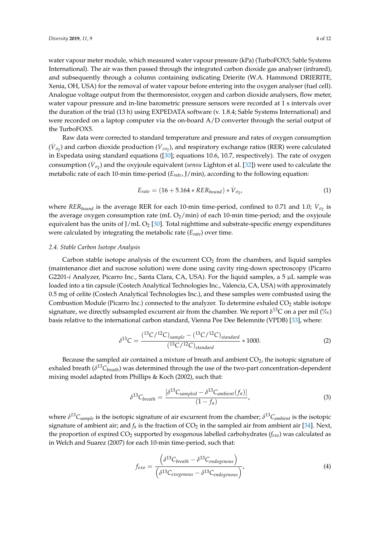water vapour meter module, which measured water vapour pressure (kPa) (TurboFOX5; Sable Systems International). The air was then passed through the integrated carbon dioxide gas analyser (infrared), and subsequently through a column containing indicating Drierite (W.A. Hammond DRIERITE,

Xenia, OH, USA) for the removal of water vapour before entering into the oxygen analyser (fuel cell). Analogue voltage output from the thermoresistor, oxygen and carbon dioxide analysers, flow meter, water vapour pressure and in-line barometric pressure sensors were recorded at 1 s intervals over the duration of the trial (13 h) using EXPEDATA software (v. 1.8.4; Sable Systems International) and were recorded on a laptop computer via the on-board A/D converter through the serial output of the TurboFOX5.

Raw data were corrected to standard temperature and pressure and rates of oxygen consumption .  $(\dot{V}_{o_2})$  and carbon dioxide production  $(\dot{V}_{co_2})$ , and respiratory exchange ratios (RER) were calculated in Expedata using standard equations ([\[30\]](#page-11-8); equations 10.6, 10.7, respectively). The rate of oxygen . consumption ( *Vo*<sup>2</sup> ) and the oxyjoule equivalent (*sensu* Lighton et al. [\[32\]](#page-11-10)) were used to calculate the metabolic rate of each 10-min time-period (*Erate*, J/min), according to the following equation:

$$
E_{rate} = (16 + 5.164 * RER_{bound}) * V_{o_2},
$$
\n(1)

where  $RER_{bound}$  is the average RER for each 10-min time-period, confined to 0.71 and 1.0;  $\dot{V}_{o_2}$  is the average oxygen consumption rate (mL  $O<sub>2</sub>/min$ ) of each 10-min time-period; and the oxyjoule equivalent has the units of  $J/mL O<sub>2</sub>$  [\[30\]](#page-11-8). Total nighttime and substrate-specific energy expenditures were calculated by integrating the metabolic rate (*Erate*) over time.

## *2.4. Stable Carbon Isotope Analysis*

Carbon stable isotope analysis of the excurrent  $CO<sub>2</sub>$  from the chambers, and liquid samples (maintenance diet and sucrose solution) were done using cavity ring-down spectroscopy (Picarro G2201-*i* Analyzer, Picarro Inc., Santa Clara, CA, USA). For the liquid samples, a 5 µL sample was loaded into a tin capsule (Costech Analytical Technologies Inc., Valencia, CA, USA) with approximately 0.5 mg of celite (Costech Analytical Technologies Inc.), and these samples were combusted using the Combustion Module (Picarro Inc.) connected to the analyzer. To determine exhaled  $CO<sub>2</sub>$  stable isotope signature, we directly subsampled excurrent air from the chamber. We report  $\delta^{13}C$  on a per mil (‰) basis relative to the international carbon standard, Vienna Pee Dee Belemnite (VPDB) [\[33\]](#page-11-11), where:

$$
\delta^{13}C = \frac{(^{13}C/^{12}C)_{sample} - (^{13}C/^{12}C)_{standard}}{(^{13}C/^{12}C)_{standard}} * 1000.
$$
 (2)

Because the sampled air contained a mixture of breath and ambient  $CO<sub>2</sub>$ , the isotopic signature of exhaled breath (*δ <sup>13</sup>Cbreath*) was determined through the use of the two-part concentration-dependent mixing model adapted from Phillips & Koch (2002), such that:

$$
\delta^{13}C_{breath} = \frac{\left[\delta^{13}C_{sampled} - \delta^{13}C_{ambient}(f_a)\right]}{(1 - f_a)},\tag{3}
$$

where  $\delta^{13}C_{sample}$  is the isotopic signature of air excurrent from the chamber;  $\delta^{13}C_{ambient}$  is the isotopic signature of ambient air; and  $f_a$  is the fraction of  $CO_2$  in the sampled air from ambient air [\[34\]](#page-11-12). Next, the proportion of expired CO<sup>2</sup> supported by exogenous labelled carbohydrates (*fexo*) was calculated as in Welch and Suarez (2007) for each 10-min time-period, such that:

$$
f_{exo} = \frac{\left(\delta^{13}C_{breath} - \delta^{13}C_{endogenous}\right)}{\left(\delta^{13}C_{exogenous} - \delta^{13}C_{endogenous}\right)},
$$
\n(4)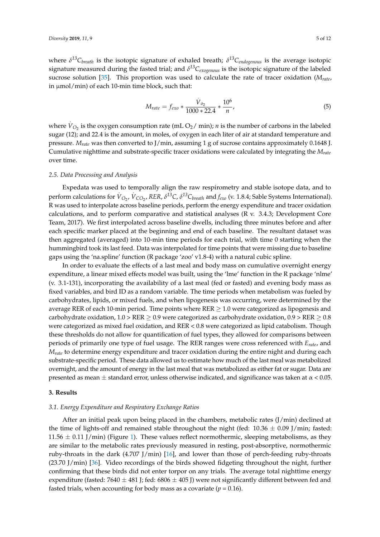where *δ <sup>13</sup>Cbreath* is the isotopic signature of exhaled breath; *δ <sup>13</sup>Cendogenous* is the average isotopic signature measured during the fasted trial; and *δ <sup>13</sup>Cexogenous* is the isotopic signature of the labeled sucrose solution [\[35\]](#page-11-13). This proportion was used to calculate the rate of tracer oxidation (*Mrate*, in  $\mu$ mol/min) of each 10-min time block, such that:

$$
M_{rate} = f_{exo} * \frac{\dot{V}_{o_2}}{1000 * 22.4} * \frac{10^6}{n},\tag{5}
$$

where  $\dot{V}_{O_2}$  is the oxygen consumption rate (mL O<sub>2</sub> / min); *n* is the number of carbons in the labeled sugar (12); and 22.4 is the amount, in moles, of oxygen in each liter of air at standard temperature and pressure. *Mrate* was then converted to J/min, assuming 1 g of sucrose contains approximately 0.1648 J. Cumulative nighttime and substrate-specific tracer oxidations were calculated by integrating the *Mrate* over time.

#### *2.5. Data Processing and Analysis*

Expedata was used to temporally align the raw respirometry and stable isotope data, and to perform calculations for  $V_{O_2}$ ,  $V_{CO_2}$ , RER,  $\delta^{13}C$ ,  $\delta^{13}C_{breath}$  and  $f_{exo}$  (v. 1.8.4; Sable Systems International). R was used to interpolate across baseline periods, perform the energy expenditure and tracer oxidation calculations, and to perform comparative and statistical analyses (R v. 3.4.3; Development Core Team, 2017). We first interpolated across baseline dwells, including three minutes before and after each specific marker placed at the beginning and end of each baseline. The resultant dataset was then aggregated (averaged) into 10-min time periods for each trial, with time 0 starting when the hummingbird took its last feed. Data was interpolated for time points that were missing due to baseline gaps using the 'na.spline' function (R package 'zoo' v1.8-4) with a natural cubic spline.

In order to evaluate the effects of a last meal and body mass on cumulative overnight energy expenditure, a linear mixed effects model was built, using the 'lme' function in the R package 'nlme' (v. 3.1-131), incorporating the availability of a last meal (fed or fasted) and evening body mass as fixed variables, and bird ID as a random variable. The time periods when metabolism was fueled by carbohydrates, lipids, or mixed fuels, and when lipogenesis was occurring, were determined by the average RER of each 10-min period. Time points where RER  $\geq$  1.0 were categorized as lipogenesis and carbohydrate oxidation,  $1.0 > RER \geq 0.9$  were categorized as carbohydrate oxidation,  $0.9 > RER \geq 0.8$ were categorized as mixed fuel oxidation, and RER < 0.8 were categorized as lipid catabolism. Though these thresholds do not allow for quantification of fuel types, they allowed for comparisons between periods of primarily one type of fuel usage. The RER ranges were cross referenced with *Erate*, and *Mrate* to determine energy expenditure and tracer oxidation during the entire night and during each substrate-specific period. These data allowed us to estimate how much of the last meal was metabolized overnight, and the amount of energy in the last meal that was metabolized as either fat or sugar. Data are presented as mean  $±$  standard error, unless otherwise indicated, and significance was taken at  $α < 0.05$ .

## **3. Results**

## *3.1. Energy Expenditure and Respiratory Exchange Ratios*

After an initial peak upon being placed in the chambers, metabolic rates (J/min) declined at the time of lights-off and remained stable throughout the night (fed:  $10.36 \pm 0.09$  J/min; fasted:  $11.56 \pm 0.11$  J/min) (Figure [1\)](#page-5-0). These values reflect normothermic, sleeping metabolisms, as they are similar to the metabolic rates previously measured in resting, post-absorptive, normothermic ruby-throats in the dark (4.707 J/min) [\[16\]](#page-10-14), and lower than those of perch-feeding ruby-throats (23.70 J/min) [\[36\]](#page-11-14). Video recordings of the birds showed fidgeting throughout the night, further confirming that these birds did not enter torpor on any trials. The average total nighttime energy expenditure (fasted:  $7640 \pm 481$  J; fed:  $6806 \pm 405$  J) were not significantly different between fed and fasted trials, when accounting for body mass as a covariate ( $p = 0.16$ ).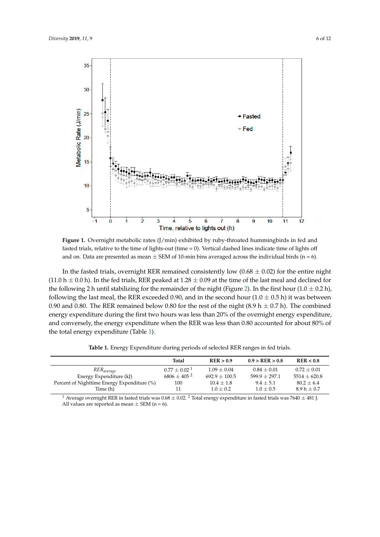<span id="page-5-0"></span>

**Figure 1.** Overnight metabolic rates (J/min) exhibited by ruby-throated hummingbirds in fed and **Figure 1.** Overnight metabolic rates (J/min) exhibited by ruby-throated hummingbirds in fed and fasted trials, relative to the time of lights-out (time = 0). Vertical dashed lines indicate time of lights fasted trials, relative to the time of lights-out (time = 0). Vertical dashed lines indicate time of lights off and on. Data are presented as mean  $\pm$  SEM of 10-min bins averaged across the individual birds (n = 6).

In the fasted trials, overnight RER remained consistently low ( $0.68 \pm 0.02$ ) for the entire night (11.0 h  $\pm$  0.0 h). In the fed trials, RER peaked at 1.28  $\pm$  0.09 at the time of the last meal and declined for the following 2 h until stabilizing for the remainder of the night (Figure [2\)](#page-6-0). In the first hour (1.0  $\pm$  0.2 h), following the last meal, the RER exceeded 0.90, and in the second hour  $(1.0 \pm 0.5 \text{ h})$  it was between 0.90 and 0.80. The RER remained below 0.80 for the rest of the night (8.9 h  $\pm$  0.7 h). The combined energy expenditure during the first two hours was less than 20% of the overnight energy expenditure, and conversely, the energy expenditure when the RER was less than 0.80 accounted for about 80% of the total energy expenditure (Table [1\)](#page-5-1).

|  |  |  | Table 1. Energy Expenditure during periods of selected RER ranges in fed trials. |  |
|--|--|--|----------------------------------------------------------------------------------|--|
|  |  |  |                                                                                  |  |

<span id="page-5-1"></span>

|                                             | Total                    | RER > 0.9       | 0.9 > RER > 0.8 | RER < 0.8      |
|---------------------------------------------|--------------------------|-----------------|-----------------|----------------|
| RER <sub>average</sub>                      | $0.77 + 0.02^{\text{1}}$ | $1.09 + 0.04$   | $0.84 + 0.01$   | $0.72 + 0.01$  |
| Energy Expenditure (kJ)                     | $6806 + 405^2$           | $692.9 + 100.5$ | $599.9 + 297.1$ | $5514 + 620.8$ |
| Percent of Nighttime Energy Expenditure (%) | 100                      | $10.4 \pm 1.8$  | $9.4 + 5.1$     | $80.2 \pm 6.4$ |
| Time (h)                                    | 11                       | $1.0 + 0.2$     | $1.0 \pm 0.5$   | $8.9 h + 0.7$  |

<sup>1</sup> Average overnight RER in fasted trials was  $0.68 \pm 0.02$ . <sup>2</sup> Total energy expenditure in fasted trials was 7640  $\pm$  481 J. All values are reported as mean  $\pm$  SEM (n = 6).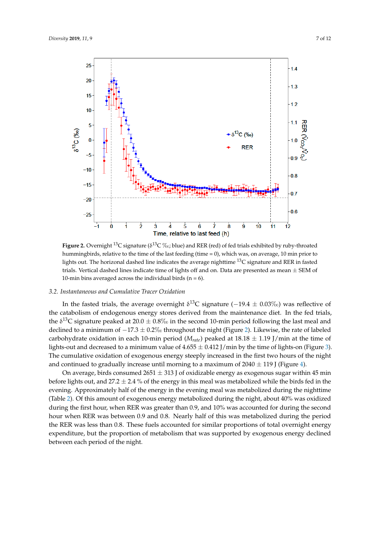<span id="page-6-0"></span>25

20

15

 $10$ 

5

 $\bf{0}$ 

-5

 $-10$ 

 $-15$ 

 $-20$ 

 $-25$ 

 $5^{13}C (9)$ 



Time, relative to last feed (h) **Figure 2.** Overnight 13C signature (δ13C ‰; blue) and RER (red) of fed trials exhibited by ruby-throated **Figure 2.** Overnight <sup>13</sup>C signature (δ <sup>13</sup>C ‰; blue) and RER (red) of fed trials exhibited by ruby-throated hummingbirds, relative to the time of the last feeding (time = 0), which was, on average, 10 min prior hummingbirds, relative to the time of the last feeding (time = 0), which was, on average, 10 min prior to lights out. The horizonal dashed line indicates the average nighttime  $^{13}C$  signature and RER in fasted trials. Vertical dashed lines indicate time of lights off and on. Data are presented as mean  $\pm$  SEM of 10-min bins averaged across the individual birds (n = 6).  $\,$ 

 $\overline{5}$ 

 $\ddot{\mathbf{6}}$ 

## *3.2. Instantaneous and Cumulative Tracer Oxidation*

ż

 $\overline{\mathbf{3}}$ 

À

In the fasted trials, the average overnight  $\delta^{13}C$  signature ( $-19.4\,\pm\,0.03\%$ ) was reflective of the catabolism of endogenous energy stores derived from the maintenance diet. In the fed trials, the δ<sup>13</sup>C signature peaked at 20.0  $\pm$  0.8‰ in the second 10-min period following the last meal and declined to a minimum of  $-17.3 \pm 0.2\%$  throughout the night (Figure [2\)](#page-6-0). Likewise, the rate of labeled carbohydrate oxidation in each 10-min period ( $M_{\text{rate}}$ ) peaked at 18.18  $\pm$  1.19 J/min at the time of lights-out and decreased to a minimum value of  $4.655 \pm 0.412$  J/min by the time of lights-on (Figure [3\)](#page-7-0). The cumulative oxidation of exogenous energy steeply increased in the first two hours of the night and continued to gradually increase until morning to a maximum of  $2040 \pm 119$  J (Figure [4\)](#page-7-1).

On average, birds consumed 2651  $\pm$  313 J of oxidizable energy as exogenous sugar within 45 min before lights out, and 27.2  $\pm$  2.4 % of the energy in this meal was metabolized while the birds fed in the evening. Approximately half of the energy in the evening meal was metabolized during the nighttime (Table [2\)](#page-8-0). Of this amount of exogenous energy metabolized during the night, about 40% was oxidized during the first hour, when RER was greater than 0.9, and 10% was accounted for during the second hour when RER was between 0.9 and 0.8. Nearly half of this was metabolized during the period the RER was less than 0.8. These fuels accounted for similar proportions of total overnight energy expenditure, but the proportion of metabolism that was supported by exogenous energy declined between each period of the night.

 $0.7$ 

 $0.6$ 

 $12$ 

 $10$ 

 $11$ 

8

ġ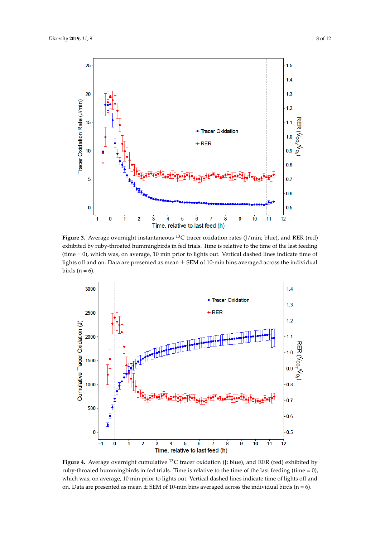<span id="page-7-0"></span>

**Figure 3.** Average overnight instantaneous 13C tracer oxidation rates (J/min; blue), and RER (red) **Figure 3.** Average overnight instantaneous <sup>13</sup>C tracer oxidation rates (J/min; blue), and RER (red) exhibited by ruby-throated hummingbirds in fed trials. Time is relative to the time of the last feeding exhibited by ruby-throated hummingbirds in fed trials. Time is relative to the time of the last feeding  $(time = 0)$ , which was, on average, 10 min prior to lights out. Vertical dashed lines indicate time of lights off and on. Data are presented as mean  $\pm$  SEM of 10-min bins averaged across the individual  $\pm$  1.1  $\pm$  6.6  $\frac{1}{2}$  birds (n = 6).

<span id="page-7-1"></span>

**Figure 4.** Average overnight cumulative 13C tracer oxidation (J; blue), and RER (red) exhibited by **Figure 4.** Average overnight cumulative <sup>13</sup>C tracer oxidation (J; blue), and RER (red) exhibited by ruby-throated hummingbirds in fed trials. Time is relative to the time of the last feeding (time = 0), ruby-throated hummingbirds in fed trials. Time is relative to the time of the last feeding (time = 0), which was, on average, 10 min prior to lights out. Vertical dashed lines indicate time of lights off and which was, on average, 10 min prior to lights out. Vertical dashed lines indicate time of lights off and on. Data are presented as mean  $\pm$  SEM of 10-min bins averaged across the individual birds (n = 6).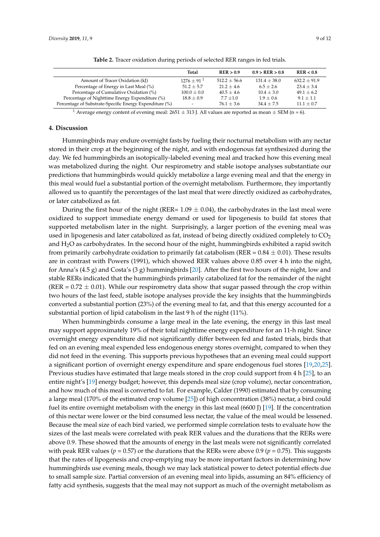| Table 2. Tracer oxidation during periods of selected RER ranges in fed trials. |  |
|--------------------------------------------------------------------------------|--|

<span id="page-8-0"></span>

|                                                         | Total                    | RER > 0.9        | 0.9 > RER > 0.8  | RER < 0.8        |
|---------------------------------------------------------|--------------------------|------------------|------------------|------------------|
| Amount of Tracer Oxidation (kJ)                         | $1276 + 91^{1}$          | $512.2 \pm 56.6$ | $131.4 \pm 38.0$ | $632.2 \pm 91.9$ |
| Percentage of Energy in Last Meal (%)                   | $51.2 \pm 5.7$           | $21.2 + 4.6$     | $6.5 + 2.6$      | $23.4 + 3.4$     |
| Percentage of Cumulative Oxidation (%)                  | $100.0 \pm 0.0$          | $40.5 \pm 4.6$   | $10.4 \pm 3.0$   | $49.1 + 6.2$     |
| Percentage of Nighttime Energy Expenditure (%)          | $18.8 \pm 0.9$           | $7.7 \pm 1.0$    | $1.9 + 0.6$      | $9.1 + 1.1$      |
| Percentage of Substrate-Specific Energy Expenditure (%) | $\overline{\phantom{a}}$ | $76.1 \pm 3.6$   | $34.4 + 7.5$     | $11.1 \pm 0.7$   |

<sup>1</sup> Average energy content of evening meal:  $2651 \pm 313$  J. All values are reported as mean  $\pm$  SEM (n = 6).

## **4. Discussion**

Hummingbirds may endure overnight fasts by fueling their nocturnal metabolism with any nectar stored in their crop at the beginning of the night, and with endogenous fat synthesized during the day. We fed hummingbirds an isotopically-labeled evening meal and tracked how this evening meal was metabolized during the night. Our respirometry and stable isotope analyses substantiate our predictions that hummingbirds would quickly metabolize a large evening meal and that the energy in this meal would fuel a substantial portion of the overnight metabolism. Furthermore, they importantly allowed us to quantify the percentages of the last meal that were directly oxidized as carbohydrates, or later catabolized as fat.

During the first hour of the night (RER=  $1.09 \pm 0.04$ ), the carbohydrates in the last meal were oxidized to support immediate energy demand or used for lipogenesis to build fat stores that supported metabolism later in the night. Surprisingly, a larger portion of the evening meal was used in lipogenesis and later catabolized as fat, instead of being directly oxidized completely to  $CO<sub>2</sub>$ and  $H_2O$  as carbohydrates. In the second hour of the night, hummingbirds exhibited a rapid switch from primarily carbohydrate oxidation to primarily fat catabolism ( $RER = 0.84 \pm 0.01$ ). These results are in contrast with Powers (1991), which showed RER values above 0.85 over 4 h into the night, for Anna's (4.5 g) and Costa's (3 g) hummingbirds [\[20\]](#page-10-13). After the first two hours of the night, low and stable RERs indicated that the hummingbirds primarily catabolized fat for the remainder of the night  $(RER = 0.72 \pm 0.01)$ . While our respirometry data show that sugar passed through the crop within two hours of the last feed, stable isotope analyses provide the key insights that the hummingbirds converted a substantial portion (23%) of the evening meal to fat, and that this energy accounted for a substantial portion of lipid catabolism in the last 9 h of the night (11%).

When hummingbirds consume a large meal in the late evening, the energy in this last meal may support approximately 19% of their total nighttime energy expenditure for an 11-h night. Since overnight energy expenditure did not significantly differ between fed and fasted trials, birds that fed on an evening meal expended less endogenous energy stores overnight, compared to when they did not feed in the evening. This supports previous hypotheses that an evening meal could support a significant portion of overnight energy expenditure and spare endogenous fuel stores [\[19,](#page-10-12)[20,](#page-10-13)[25\]](#page-11-4). Previous studies have estimated that large meals stored in the crop could support from 4 h [\[25\]](#page-11-4), to an entire night's [\[19\]](#page-10-12) energy budget; however, this depends meal size (crop volume), nectar concentration, and how much of this meal is converted to fat. For example, Calder (1990) estimated that by consuming a large meal (170% of the estimated crop volume [\[25\]](#page-11-4)) of high concentration (38%) nectar, a bird could fuel its entire overnight metabolism with the energy in this last meal (6600 J) [\[19\]](#page-10-12). If the concentration of this nectar were lower or the bird consumed less nectar, the value of the meal would be lessened. Because the meal size of each bird varied, we performed simple correlation tests to evaluate how the sizes of the last meals were correlated with peak RER values and the durations that the RERs were above 0.9. These showed that the amounts of energy in the last meals were not significantly correlated with peak RER values ( $p = 0.57$ ) or the durations that the RERs were above 0.9 ( $p = 0.75$ ). This suggests that the rates of lipogenesis and crop-emptying may be more important factors in determining how hummingbirds use evening meals, though we may lack statistical power to detect potential effects due to small sample size. Partial conversion of an evening meal into lipids, assuming an 84% efficiency of fatty acid synthesis, suggests that the meal may not support as much of the overnight metabolism as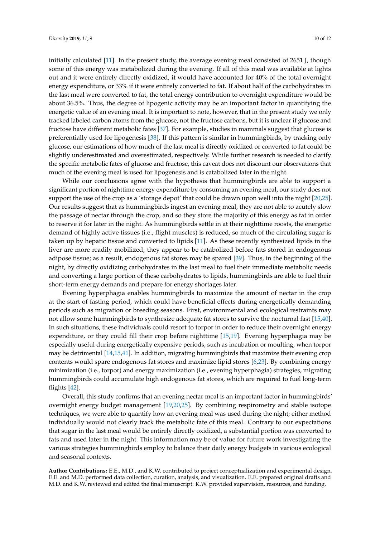initially calculated [\[11\]](#page-10-7). In the present study, the average evening meal consisted of 2651 J, though some of this energy was metabolized during the evening. If all of this meal was available at lights out and it were entirely directly oxidized, it would have accounted for 40% of the total overnight energy expenditure, or 33% if it were entirely converted to fat. If about half of the carbohydrates in the last meal were converted to fat, the total energy contribution to overnight expenditure would be about 36.5%. Thus, the degree of lipogenic activity may be an important factor in quantifying the energetic value of an evening meal. It is important to note, however, that in the present study we only tracked labeled carbon atoms from the glucose, not the fructose carbons, but it is unclear if glucose and fructose have different metabolic fates [\[37\]](#page-11-15). For example, studies in mammals suggest that glucose is preferentially used for lipogenesis [\[38\]](#page-11-16). If this pattern is similar in hummingbirds, by tracking only glucose, our estimations of how much of the last meal is directly oxidized or converted to fat could be slightly underestimated and overestimated, respectively. While further research is needed to clarify the specific metabolic fates of glucose and fructose, this caveat does not discount our observations that much of the evening meal is used for lipogenesis and is catabolized later in the night.

While our conclusions agree with the hypothesis that hummingbirds are able to support a significant portion of nighttime energy expenditure by consuming an evening meal, our study does not support the use of the crop as a 'storage depot' that could be drawn upon well into the night [\[20,](#page-10-13)[25\]](#page-11-4). Our results suggest that as hummingbirds ingest an evening meal, they are not able to acutely slow the passage of nectar through the crop, and so they store the majority of this energy as fat in order to reserve it for later in the night. As hummingbirds settle in at their nighttime roosts, the energetic demand of highly active tissues (i.e., flight muscles) is reduced, so much of the circulating sugar is taken up by hepatic tissue and converted to lipids [\[11\]](#page-10-7). As these recently synthesized lipids in the liver are more readily mobilized, they appear to be catabolized before fats stored in endogenous adipose tissue; as a result, endogenous fat stores may be spared [\[39\]](#page-11-17). Thus, in the beginning of the night, by directly oxidizing carbohydrates in the last meal to fuel their immediate metabolic needs and converting a large portion of these carbohydrates to lipids, hummingbirds are able to fuel their short-term energy demands and prepare for energy shortages later.

Evening hyperphagia enables hummingbirds to maximize the amount of nectar in the crop at the start of fasting period, which could have beneficial effects during energetically demanding periods such as migration or breeding seasons. First, environmental and ecological restraints may not allow some hummingbirds to synthesize adequate fat stores to survive the nocturnal fast [\[15,](#page-10-15)[40\]](#page-11-18). In such situations, these individuals could resort to torpor in order to reduce their overnight energy expenditure, or they could fill their crop before nighttime [\[15,](#page-10-15)[19\]](#page-10-12). Evening hyperphagia may be especially useful during energetically expensive periods, such as incubation or moulting, when torpor may be detrimental [\[14,](#page-10-9)[15](#page-10-15)[,41\]](#page-11-19). In addition, migrating hummingbirds that maximize their evening crop contents would spare endogenous fat stores and maximize lipid stores [\[6,](#page-10-3)[23\]](#page-11-2). By combining energy minimization (i.e., torpor) and energy maximization (i.e., evening hyperphagia) strategies, migrating hummingbirds could accumulate high endogenous fat stores, which are required to fuel long-term flights [\[42\]](#page-11-20).

Overall, this study confirms that an evening nectar meal is an important factor in hummingbirds' overnight energy budget management [\[19](#page-10-12)[,20](#page-10-13)[,25\]](#page-11-4). By combining respirometry and stable isotope techniques, we were able to quantify how an evening meal was used during the night; either method individually would not clearly track the metabolic fate of this meal. Contrary to our expectations that sugar in the last meal would be entirely directly oxidized, a substantial portion was converted to fats and used later in the night. This information may be of value for future work investigating the various strategies hummingbirds employ to balance their daily energy budgets in various ecological and seasonal contexts.

**Author Contributions:** E.E., M.D., and K.W. contributed to project conceptualization and experimental design. E.E. and M.D. performed data collection, curation, analysis, and visualization. E.E. prepared original drafts and M.D. and K.W. reviewed and edited the final manuscript. K.W. provided supervision, resources, and funding.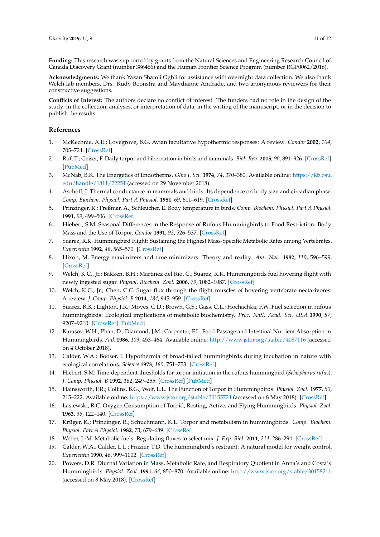**Funding:** This research was supported by grants from the Natural Sciences and Engineering Research Council of Canada Discovery Grant (number 386466) and the Human Frontier Science Program (number RGP0062/2016).

**Acknowledgments:** We thank Yazan Shamli Oghli for assistance with overnight data collection. We also thank Welch lab members, Drs. Rudy Boonstra and Maydianne Andrade, and two anonymous reviewers for their constructive suggestions.

**Conflicts of Interest:** The authors declare no conflict of interest. The funders had no role in the design of the study; in the collection, analyses, or interpretation of data; in the writing of the manuscript, or in the decision to publish the results.

## **References**

- <span id="page-10-0"></span>1. McKechnie, A.E.; Lovegrove, B.G. Avian facultative hypothermic responses: A review. *Condor* **2002**, *104*, 705–724. [\[CrossRef\]](http://dx.doi.org/10.1650/0010-5422(2002)104[0705:AFHRAR]2.0.CO;2)
- 2. Ruf, T.; Geiser, F. Daily torpor and hibernation in birds and mammals. *Biol. Rev.* **2015**, *90*, 891–926. [\[CrossRef\]](http://dx.doi.org/10.1111/brv.12137) [\[PubMed\]](http://www.ncbi.nlm.nih.gov/pubmed/25123049)
- <span id="page-10-1"></span>3. McNab, B.K. The Energetics of Endotherms. *Ohio J. Sci.* **1974**, *74*, 370–380. Available online: [https://kb.osu.](https://kb.osu.edu/handle/1811/22251) [edu/handle/1811/22251](https://kb.osu.edu/handle/1811/22251) (accessed on 29 November 2018).
- 4. Aschoff, J. Thermal conductance in mammals and birds: Its dependence on body size and circadian phase. *Comp. Biochem. Physiol. Part A Physiol.* **1981**, *69*, 611–619. [\[CrossRef\]](http://dx.doi.org/10.1016/0300-9629(81)90145-6)
- <span id="page-10-2"></span>5. Prinzinger, R.; Preßmar, A.; Schleucher, E. Body temperature in birds. *Comp. Biochem. Physiol. Part A Physiol.* **1991**, *99*, 499–506. [\[CrossRef\]](http://dx.doi.org/10.1016/0300-9629(91)90122-S)
- <span id="page-10-3"></span>6. Hiebert, S.M. Seasonal Differences in the Response of Rufous Hummingbirds to Food Restriction: Body Mass and the Use of Torpor. *Condor* **1991**, *93*, 526–537. [\[CrossRef\]](http://dx.doi.org/10.2307/1368184)
- 7. Suarez, R.K. Hummingbird Flight: Sustaining the Highest Mass-Specific Metabolic Rates among Vertebrates. *Experientia* **1992**, *48*, 565–570. [\[CrossRef\]](http://dx.doi.org/10.1007/BF01920240)
- <span id="page-10-4"></span>8. Hixon, M. Energy maximizers and time minimizers: Theory and reality. *Am. Nat.* **1982**, *119*, 596–599. [\[CrossRef\]](http://dx.doi.org/10.1086/283937)
- <span id="page-10-5"></span>9. Welch, K.C., Jr.; Bakken, B.H.; Martinez del Rio, C.; Suarez, R.K. Hummingbirds fuel hovering flight with newly ingested sugar. *Physiol. Biochem. Zool.* **2006**, *79*, 1082–1087. [\[CrossRef\]](http://dx.doi.org/10.1086/507665)
- 10. Welch, K.C., Jr.; Chen, C.C. Sugar flux through the flight muscles of hovering vertebrate nectarivores: A review. *J. Comp. Physiol. B* **2014**, *184*, 945–959. [\[CrossRef\]](http://dx.doi.org/10.1007/s00360-014-0843-y)
- <span id="page-10-7"></span>11. Suarez, R.K.; Lighton, J.R.; Moyes, C.D.; Brown, G.S.; Gass, C.L.; Hochachka, P.W. Fuel selection in rufous hummingbirds: Ecological implications of metabolic biochemistry. *Proc. Natl. Acad. Sci. USA* **1990**, *87*, 9207–9210. [\[CrossRef\]](http://dx.doi.org/10.1073/pnas.87.23.9207) [\[PubMed\]](http://www.ncbi.nlm.nih.gov/pubmed/2251266)
- <span id="page-10-6"></span>12. Karasov, W.H.; Phan, D.; Diamond, J.M.; Carpenter, F.L. Food Passage and Intestinal Nutrient Absorption in Hummingbirds. *Auk* **1986**, *103*, 453–464. Available online: <http://www.jstor.org/stable/4087116> (accessed on 4 October 2018).
- <span id="page-10-8"></span>13. Calder, W.A.; Booser, J. Hypothermia of broad-tailed hummingbirds during incubation in nature with ecological correlations. *Science* **1973**, *180*, 751–753. [\[CrossRef\]](http://dx.doi.org/10.1126/science.180.4087.751)
- <span id="page-10-9"></span>14. Hiebert, S.M. Time-dependent thresholds for torpor initiation in the rufous hummingbird (*Selasphorus rufus*). *J. Comp. Physiol. B* **1992**, *162*, 249–255. [\[CrossRef\]](http://dx.doi.org/10.1007/BF00357531) [\[PubMed\]](http://www.ncbi.nlm.nih.gov/pubmed/1613163)
- <span id="page-10-15"></span>15. Hainsworth, F.R.; Collins, B.G.; Wolf, L.L. The Function of Torpor in Hummingbirds. *Physiol. Zool.* **1977**, *50*, 215–222. Available online: <https://www.jstor.org/stable/30155724> (accessed on 8 May 2018). [\[CrossRef\]](http://dx.doi.org/10.1086/physzool.50.3.30155724)
- <span id="page-10-14"></span>16. Lasiewski, R.C. Oxygen Consumption of Torpid, Resting, Active, and Flying Hummingbirds. *Physiol. Zool.* **1963**, *36*, 122–140. [\[CrossRef\]](http://dx.doi.org/10.1086/physzool.36.2.30155436)
- <span id="page-10-10"></span>17. Krüger, K.; Prinzinger, R.; Schuchmann, K.L. Torpor and metabolism in hummingbirds. *Comp. Biochem. Physiol. Part A Physiol.* **1982**, *73*, 679–689. [\[CrossRef\]](http://dx.doi.org/10.1016/0300-9629(82)90275-4)
- <span id="page-10-11"></span>18. Weber, J.-M. Metabolic fuels: Regulating fluxes to select mix. *J. Exp. Biol.* **2011**, *214*, 286–294. [\[CrossRef\]](http://dx.doi.org/10.1242/jeb.047050)
- <span id="page-10-12"></span>19. Calder, W.A.; Calder, L.L.; Frazier, T.D. The hummingbird's restraint: A natural model for weight control. *Experientia* **1990**, *46*, 999–1002. [\[CrossRef\]](http://dx.doi.org/10.1007/BF01940653)
- <span id="page-10-13"></span>20. Powers, D.R. Diurnal Variation in Mass, Metabolic Rate, and Respiratory Quotient in Anna's and Costa's Hummingbirds. *Physiol. Zool.* **1991**, *64*, 850–870. Available online: <http://www.jstor.org/stable/30158211> (accessed on 8 May 2018). [\[CrossRef\]](http://dx.doi.org/10.1086/physzool.64.3.30158211)